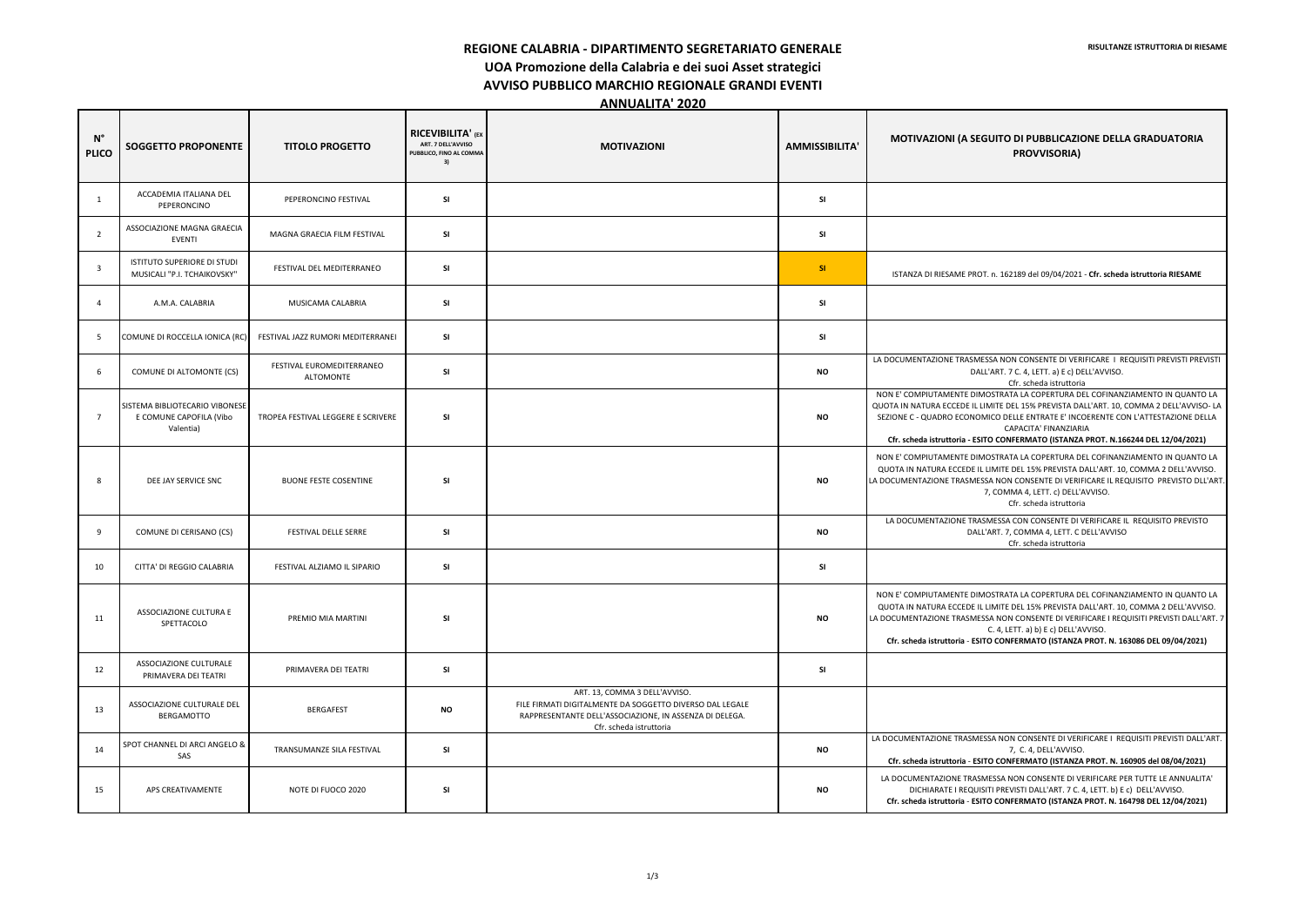**REGIONE CALABRIA - DIPARTIMENTO SEGRETARIATO GENERALE** 

**UOA Promozione della Calabria e dei suoi Asset strategici** 

**AVVISO PUBBLICO MARCHIO REGIONALE GRANDI EVENTI** 

**ANNUALITA' 2020** 

| $N^{\circ}$<br><b>PLICO</b> | <b>SOGGETTO PROPONENTE</b>                                             | <b>TITOLO PROGETTO</b>                        | <b>RICEVIBILITA' (EX</b><br>ART. 7 DELL'AVVISO<br>PUBBLICO, FINO AL COMMA<br>3) | <b>MOTIVAZIONI</b>                                                                                                                                                              | <b>AMMISSIBILITA</b> | MOTIVAZIONI (A SEGUITO DI PUBBLICAZIONE DELLA GRADUATORIA<br><b>PROVVISORIA)</b>                                                                                                                                                                                                                                                                                                   |
|-----------------------------|------------------------------------------------------------------------|-----------------------------------------------|---------------------------------------------------------------------------------|---------------------------------------------------------------------------------------------------------------------------------------------------------------------------------|----------------------|------------------------------------------------------------------------------------------------------------------------------------------------------------------------------------------------------------------------------------------------------------------------------------------------------------------------------------------------------------------------------------|
| 1                           | ACCADEMIA ITALIANA DEL<br>PEPERONCINO                                  | PEPERONCINO FESTIVAL                          | <b>SI</b>                                                                       |                                                                                                                                                                                 | <b>SI</b>            |                                                                                                                                                                                                                                                                                                                                                                                    |
| $\overline{2}$              | ASSOCIAZIONE MAGNA GRAECIA<br><b>EVENTI</b>                            | MAGNA GRAECIA FILM FESTIVAL                   | <b>SI</b>                                                                       |                                                                                                                                                                                 | SI                   |                                                                                                                                                                                                                                                                                                                                                                                    |
| $\overline{\mathbf{3}}$     | ISTITUTO SUPERIORE DI STUDI<br>MUSICALI "P.I. TCHAIKOVSKY"             | FESTIVAL DEL MEDITERRANEO                     | <b>SI</b>                                                                       |                                                                                                                                                                                 | SI                   | ISTANZA DI RIESAME PROT. n. 162189 del 09/04/2021 - Cfr. scheda istruttoria RIESAME                                                                                                                                                                                                                                                                                                |
| $\overline{4}$              | A.M.A. CALABRIA                                                        | MUSICAMA CALABRIA                             | <b>SI</b>                                                                       |                                                                                                                                                                                 | <b>SI</b>            |                                                                                                                                                                                                                                                                                                                                                                                    |
| -5                          | COMUNE DI ROCCELLA IONICA (RC                                          | FESTIVAL JAZZ RUMORI MEDITERRANEI             | <b>SI</b>                                                                       |                                                                                                                                                                                 | <b>SI</b>            |                                                                                                                                                                                                                                                                                                                                                                                    |
| - 6                         | COMUNE DI ALTOMONTE (CS)                                               | FESTIVAL EUROMEDITERRANEO<br><b>ALTOMONTE</b> | <b>SI</b>                                                                       |                                                                                                                                                                                 | <b>NO</b>            | LA DOCUMENTAZIONE TRASMESSA NON CONSENTE DI VERIFICARE I REQUISITI PREVISTI PRE'<br>DALL'ART. 7 C. 4, LETT. a) E c) DELL'AVVISO.<br>Cfr. scheda istruttoria                                                                                                                                                                                                                        |
| 7                           | SISTEMA BIBLIOTECARIO VIBONESE<br>E COMUNE CAPOFILA (Vibo<br>Valentia) | TROPEA FESTIVAL LEGGERE E SCRIVERE            | <b>SI</b>                                                                       |                                                                                                                                                                                 | <b>NO</b>            | NON E' COMPIUTAMENTE DIMOSTRATA LA COPERTURA DEL COFINANZIAMENTO IN QUANTO<br>QUOTA IN NATURA ECCEDE IL LIMITE DEL 15% PREVISTA DALL'ART. 10, COMMA 2 DELL'AVVISO<br>SEZIONE C - QUADRO ECONOMICO DELLE ENTRATE E' INCOERENTE CON L'ATTESTAZIONE DE<br>CAPACITA' FINANZIARIA<br>Cfr. scheda istruttoria - ESITO CONFERMATO (ISTANZA PROT. N.166244 DEL 12/04/2021                  |
| -8                          | DEE JAY SERVICE SNC                                                    | <b>BUONE FESTE COSENTINE</b>                  | <b>SI</b>                                                                       |                                                                                                                                                                                 | <b>NO</b>            | NON E' COMPIUTAMENTE DIMOSTRATA LA COPERTURA DEL COFINANZIAMENTO IN QUANTO<br>QUOTA IN NATURA ECCEDE IL LIMITE DEL 15% PREVISTA DALL'ART. 10, COMMA 2 DELL'AVVI<br>LA DOCUMENTAZIONE TRASMESSA NON CONSENTE DI VERIFICARE IL REQUISITO PREVISTO DLI<br>7, COMMA 4, LETT. c) DELL'AVVISO.<br>Cfr. scheda istruttoria                                                                |
| 9                           | COMUNE DI CERISANO (CS)                                                | <b>FESTIVAL DELLE SERRE</b>                   | <b>SI</b>                                                                       |                                                                                                                                                                                 | <b>NO</b>            | LA DOCUMENTAZIONE TRASMESSA CON CONSENTE DI VERIFICARE IL REQUISITO PREVISTO<br>DALL'ART. 7, COMMA 4, LETT. C DELL'AVVISO<br>Cfr. scheda istruttoria                                                                                                                                                                                                                               |
| 10                          | CITTA' DI REGGIO CALABRIA                                              | FESTIVAL ALZIAMO IL SIPARIO                   | <b>SI</b>                                                                       |                                                                                                                                                                                 | <b>SI</b>            |                                                                                                                                                                                                                                                                                                                                                                                    |
| 11                          | ASSOCIAZIONE CULTURA E<br>SPETTACOLO                                   | PREMIO MIA MARTINI                            | <b>SI</b>                                                                       |                                                                                                                                                                                 | <b>NO</b>            | NON E' COMPIUTAMENTE DIMOSTRATA LA COPERTURA DEL COFINANZIAMENTO IN QUANTO<br>QUOTA IN NATURA ECCEDE IL LIMITE DEL 15% PREVISTA DALL'ART. 10, COMMA 2 DELL'AVVI<br>LA DOCUMENTAZIONE TRASMESSA NON CONSENTE DI VERIFICARE I REQUISITI PREVISTI DALL'A<br>C. 4, LETT. a) b) E c) DELL'AVVISO.<br>Cfr. scheda istruttoria - ESITO CONFERMATO (ISTANZA PROT. N. 163086 DEL 09/04/2021 |
| 12                          | ASSOCIAZIONE CULTURALE<br>PRIMAVERA DEI TEATRI                         | PRIMAVERA DEI TEATRI                          | <b>SI</b>                                                                       |                                                                                                                                                                                 | <b>SI</b>            |                                                                                                                                                                                                                                                                                                                                                                                    |
| 13                          | ASSOCIAZIONE CULTURALE DEL<br>BERGAMOTTO                               | <b>BERGAFEST</b>                              | ΝO                                                                              | ART. 13, COMMA 3 DELL'AVVISO.<br>FILE FIRMATI DIGITALMENTE DA SOGGETTO DIVERSO DAL LEGALE<br>RAPPRESENTANTE DELL'ASSOCIAZIONE, IN ASSENZA DI DELEGA.<br>Cfr. scheda istruttoria |                      |                                                                                                                                                                                                                                                                                                                                                                                    |
| 14                          | SPOT CHANNEL DI ARCI ANGELO &<br>SAS                                   | TRANSUMANZE SILA FESTIVAL                     | <b>SI</b>                                                                       |                                                                                                                                                                                 | <b>NO</b>            | LA DOCUMENTAZIONE TRASMESSA NON CONSENTE DI VERIFICARE I REQUISITI PREVISTI DALL<br>7, C. 4, DELL'AVVISO.<br>Cfr. scheda istruttoria - ESITO CONFERMATO (ISTANZA PROT. N. 160905 del 08/04/2021)                                                                                                                                                                                   |
| 15                          | APS CREATIVAMENTE                                                      | NOTE DI FUOCO 2020                            | <b>SI</b>                                                                       |                                                                                                                                                                                 | ΝO                   | LA DOCUMENTAZIONE TRASMESSA NON CONSENTE DI VERIFICARE PER TUTTE LE ANNUALIT<br>DICHIARATE I REQUISITI PREVISTI DALL'ART. 7 C. 4, LETT. b) E c) DELL'AVVISO.<br>Cfr. scheda istruttoria - ESITO CONFERMATO (ISTANZA PROT. N. 164798 DEL 12/04/2021                                                                                                                                 |

| <b>MOTIVAZIONI (A SEGUITO DI PUBBLICAZIONE DELLA GRADUATORIA</b><br><b>PROVVISORIA)</b>                                                                                                                                                                                                                                                                                                                              |  |  |  |  |  |
|----------------------------------------------------------------------------------------------------------------------------------------------------------------------------------------------------------------------------------------------------------------------------------------------------------------------------------------------------------------------------------------------------------------------|--|--|--|--|--|
|                                                                                                                                                                                                                                                                                                                                                                                                                      |  |  |  |  |  |
|                                                                                                                                                                                                                                                                                                                                                                                                                      |  |  |  |  |  |
| ISTANZA DI RIESAME PROT. n. 162189 del 09/04/2021 - Cfr. scheda istruttoria RIESAME                                                                                                                                                                                                                                                                                                                                  |  |  |  |  |  |
|                                                                                                                                                                                                                                                                                                                                                                                                                      |  |  |  |  |  |
|                                                                                                                                                                                                                                                                                                                                                                                                                      |  |  |  |  |  |
| LA DOCUMENTAZIONE TRASMESSA NON CONSENTE DI VERIFICARE 1 REQUISITI PREVISTI PREVISTI<br>DALL'ART. 7 C. 4, LETT. a) E c) DELL'AVVISO.<br>Cfr. scheda istruttoria                                                                                                                                                                                                                                                      |  |  |  |  |  |
| NON E' COMPIUTAMENTE DIMOSTRATA LA COPERTURA DEL COFINANZIAMENTO IN QUANTO LA<br>QUOTA IN NATURA ECCEDE IL LIMITE DEL 15% PREVISTA DALL'ART. 10, COMMA 2 DELL'AVVISO- LA<br>SEZIONE C - QUADRO ECONOMICO DELLE ENTRATE E' INCOERENTE CON L'ATTESTAZIONE DELLA<br>CAPACITA' FINANZIARIA                                                                                                                               |  |  |  |  |  |
| Cfr. scheda istruttoria - ESITO CONFERMATO (ISTANZA PROT. N.166244 DEL 12/04/2021)<br>NON E' COMPIUTAMENTE DIMOSTRATA LA COPERTURA DEL COFINANZIAMENTO IN QUANTO LA<br>QUOTA IN NATURA ECCEDE IL LIMITE DEL 15% PREVISTA DALL'ART. 10, COMMA 2 DELL'AVVISO.<br>LA DOCUMENTAZIONE TRASMESSA NON CONSENTE DI VERIFICARE IL REQUISITO PREVISTO DLL'ART.<br>7, COMMA 4, LETT. c) DELL'AVVISO.<br>Cfr. scheda istruttoria |  |  |  |  |  |
| LA DOCUMENTAZIONE TRASMESSA CON CONSENTE DI VERIFICARE IL REQUISITO PREVISTO<br>DALL'ART. 7, COMMA 4, LETT. C DELL'AVVISO<br>Cfr. scheda istruttoria                                                                                                                                                                                                                                                                 |  |  |  |  |  |
|                                                                                                                                                                                                                                                                                                                                                                                                                      |  |  |  |  |  |
| NON E' COMPIUTAMENTE DIMOSTRATA LA COPERTURA DEL COFINANZIAMENTO IN QUANTO LA<br>QUOTA IN NATURA ECCEDE IL LIMITE DEL 15% PREVISTA DALL'ART. 10, COMMA 2 DELL'AVVISO<br>LA DOCUMENTAZIONE TRASMESSA NON CONSENTE DI VERIFICARE I REQUISITI PREVISTI DALL'ART. 7<br>C. 4, LETT. a) b) E c) DELL'AVVISO.<br>Cfr. scheda istruttoria - ESITO CONFERMATO (ISTANZA PROT. N. 163086 DEL 09/04/2021)                        |  |  |  |  |  |
|                                                                                                                                                                                                                                                                                                                                                                                                                      |  |  |  |  |  |
|                                                                                                                                                                                                                                                                                                                                                                                                                      |  |  |  |  |  |
| LA DOCUMENTAZIONE TRASMESSA NON CONSENTE DI VERIFICARE I REQUISITI PREVISTI DALL'ART.<br>7, C. 4, DELL'AVVISO.                                                                                                                                                                                                                                                                                                       |  |  |  |  |  |
| Cfr. scheda istruttoria - ESITO CONFERMATO (ISTANZA PROT. N. 160905 del 08/04/2021)<br>LA DOCUMENTAZIONE TRASMESSA NON CONSENTE DI VERIFICARE PER TUTTE LE ANNUALITA'                                                                                                                                                                                                                                                |  |  |  |  |  |
| DICHIARATE I REQUISITI PREVISTI DALL'ART. 7 C. 4, LETT. b) E c) DELL'AVVISO.<br>Cfr. scheda istruttoria - ESITO CONFERMATO (ISTANZA PROT. N. 164798 DEL 12/04/2021)                                                                                                                                                                                                                                                  |  |  |  |  |  |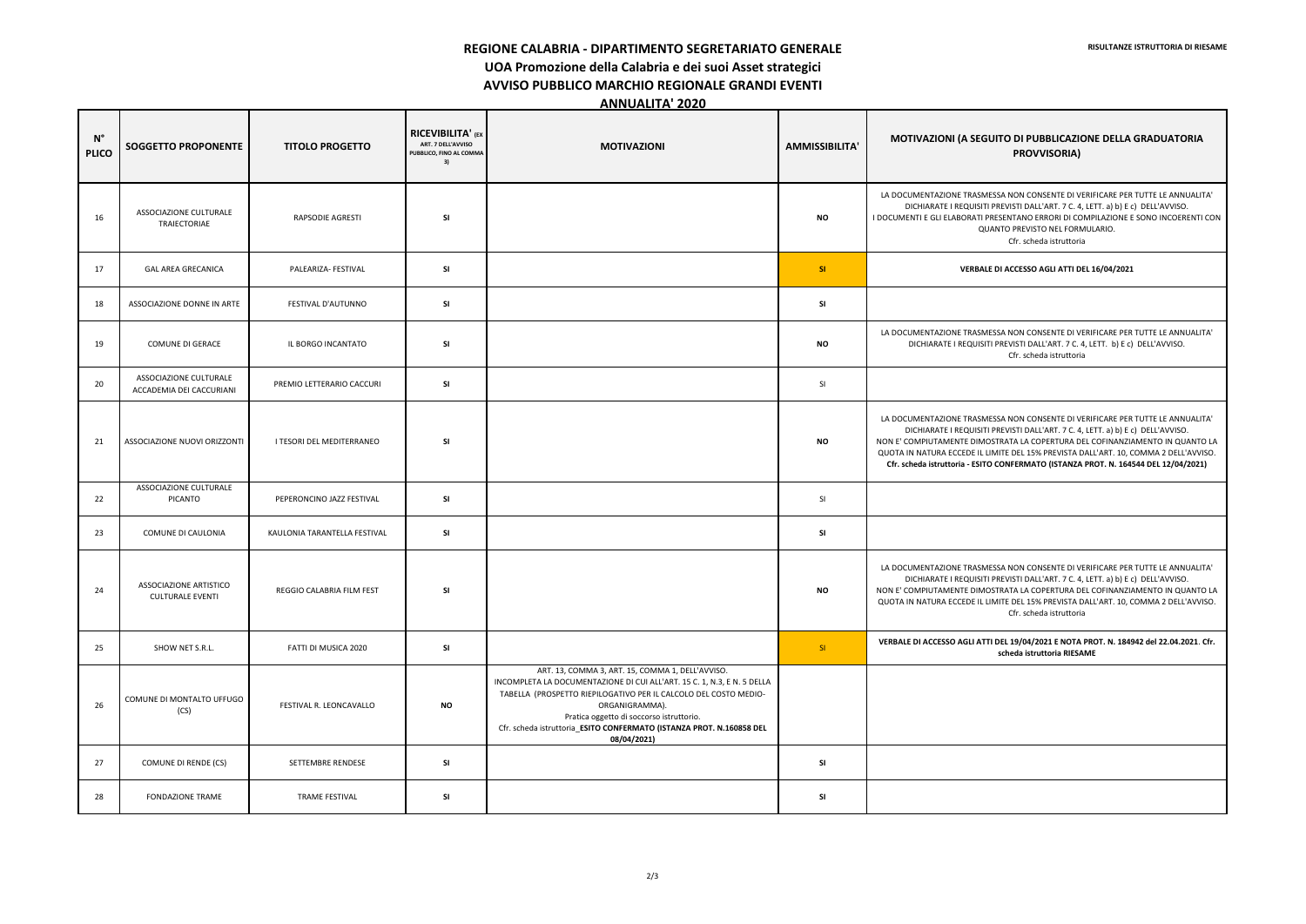**REGIONE CALABRIA - DIPARTIMENTO SEGRETARIATO GENERALE** 

**UOA Promozione della Calabria e dei suoi Asset strategici** 

**AVVISO PUBBLICO MARCHIO REGIONALE GRANDI EVENTI** 

**ANNUALITA' 2020** 

## **GUITO DI PUBBLICAZIONE DELLA GRADUATORIA PROVVISORIA)**

MESSA NON CONSENTE DI VERIFICARE PER TUTTE LE ANNUALITA' ITI PREVISTI DALL'ART. 7 C. 4, LETT. a) b) E c) DELL'AVVISO. I PRESENTANO ERRORI DI COMPILAZIONE E SONO INCOERENTI CON QUANTO PREVISTO NEL FORMULARIO. Cfr. scheda istruttoria

MESSA NON CONSENTE DI VERIFICARE PER TUTTE LE ANNUALITA' SITI PREVISTI DALL'ART. 7 C. 4, LETT. b) E c) DELL'AVVISO. Cfr. scheda istruttoria

17 GAL AREA GRECANICA PALEARIZA- FESTIVAL **SI SI VERBALE DI ACCESSO AGLI ATTI DEL 16/04/2021**

MESSA NON CONSENTE DI VERIFICARE PER TUTTE LE ANNUALITA' ITI PREVISTI DALL'ART. 7 C. 4, LETT. a) b) E c) DELL'AVVISO. NOSTRATA LA COPERTURA DEL COFINANZIAMENTO IN QUANTO LA LIMITE DEL 15% PREVISTA DALL'ART. 10, COMMA 2 DELL'AVVISO. **Cfr. scheda istruttoria - ESITO CONFERMATO (ISTANZA PROT. N. 164544 DEL 12/04/2021)**

MESSA NON CONSENTE DI VERIFICARE PER TUTTE LE ANNUALITA' ITI PREVISTI DALL'ART. 7 C. 4, LETT. a) b) E c) DELL'AVVISO. MOSTRATA LA COPERTURA DEL COFINANZIAMENTO IN QUANTO LA L LIMITE DEL 15% PREVISTA DALL'ART. 10, COMMA 2 DELL'AVVISO. Cfr. scheda istruttoria

| $\mathsf{N}^\circ$<br><b>PLICO</b> | <b>SOGGETTO PROPONENTE</b>                         | <b>TITOLO PROGETTO</b>       | <b>RICEVIBILITA' (EX</b><br>ART. 7 DELL'AVVISO<br>PUBBLICO, FINO AL COMMA<br>3) | <b>MOTIVAZIONI</b>                                                                                                                                                                                                                                                                                                                                   | <b>AMMISSIBILITA'</b> | <b>MOTIVAZIONI (A SEC</b>                                                                                                                   |
|------------------------------------|----------------------------------------------------|------------------------------|---------------------------------------------------------------------------------|------------------------------------------------------------------------------------------------------------------------------------------------------------------------------------------------------------------------------------------------------------------------------------------------------------------------------------------------------|-----------------------|---------------------------------------------------------------------------------------------------------------------------------------------|
| 16                                 | ASSOCIAZIONE CULTURALE<br>TRAIECTORIAE             | RAPSODIE AGRESTI             | <b>SI</b>                                                                       |                                                                                                                                                                                                                                                                                                                                                      | <b>NO</b>             | LA DOCUMENTAZIONE TRASN<br>DICHIARATE I REQUISIT<br>I DOCUMENTI E GLI ELABORATI<br>Q                                                        |
| 17                                 | <b>GAL AREA GRECANICA</b>                          | PALEARIZA- FESTIVAL          | SI                                                                              |                                                                                                                                                                                                                                                                                                                                                      | SI                    | <b>VERBA</b>                                                                                                                                |
| 18                                 | ASSOCIAZIONE DONNE IN ARTE                         | FESTIVAL D'AUTUNNO           | <b>SI</b>                                                                       |                                                                                                                                                                                                                                                                                                                                                      | SI                    |                                                                                                                                             |
| 19                                 | <b>COMUNE DI GERACE</b>                            | IL BORGO INCANTATO           | <b>SI</b>                                                                       |                                                                                                                                                                                                                                                                                                                                                      | <b>NO</b>             | LA DOCUMENTAZIONE TRASN<br>DICHIARATE I REQUISI                                                                                             |
| 20                                 | ASSOCIAZIONE CULTURALE<br>ACCADEMIA DEI CACCURIANI | PREMIO LETTERARIO CACCURI    | SI                                                                              |                                                                                                                                                                                                                                                                                                                                                      | SI                    |                                                                                                                                             |
| 21                                 | ASSOCIAZIONE NUOVI ORIZZONTI                       | I TESORI DEL MEDITERRANEO    | <b>SI</b>                                                                       |                                                                                                                                                                                                                                                                                                                                                      | <b>NO</b>             | LA DOCUMENTAZIONE TRASN<br>DICHIARATE I REQUISIT<br>NON E' COMPIUTAMENTE DIM<br>QUOTA IN NATURA ECCEDE IL<br>Cfr. scheda istruttoria - ESIT |
| 22                                 | ASSOCIAZIONE CULTURALE<br>PICANTO                  | PEPERONCINO JAZZ FESTIVAL    | <b>SI</b>                                                                       |                                                                                                                                                                                                                                                                                                                                                      | SI                    |                                                                                                                                             |
| 23                                 | COMUNE DI CAULONIA                                 | KAULONIA TARANTELLA FESTIVAL | <b>SI</b>                                                                       |                                                                                                                                                                                                                                                                                                                                                      | SI                    |                                                                                                                                             |
| 24                                 | ASSOCIAZIONE ARTISTICO<br><b>CULTURALE EVENTI</b>  | REGGIO CALABRIA FILM FEST    | SI                                                                              |                                                                                                                                                                                                                                                                                                                                                      | ΝO                    | LA DOCUMENTAZIONE TRASN<br>DICHIARATE I REQUISIT<br>NON E' COMPIUTAMENTE DIM<br>QUOTA IN NATURA ECCEDE IL                                   |
| 25                                 | SHOW NET S.R.L.                                    | FATTI DI MUSICA 2020         | SI                                                                              |                                                                                                                                                                                                                                                                                                                                                      | SI                    | <b>VERBALE DI ACCESSO AGLI AT</b>                                                                                                           |
| 26                                 | COMUNE DI MONTALTO UFFUGO<br>(CS)                  | FESTIVAL R. LEONCAVALLO      | <b>NO</b>                                                                       | ART. 13, COMMA 3, ART. 15, COMMA 1, DELL'AVVISO.<br>INCOMPLETA LA DOCUMENTAZIONE DI CUI ALL'ART. 15 C. 1, N.3, E N. 5 DELLA<br>TABELLA (PROSPETTO RIEPILOGATIVO PER IL CALCOLO DEL COSTO MEDIO-<br>ORGANIGRAMMA).<br>Pratica oggetto di soccorso istruttorio.<br>Cfr. scheda istruttoria_ESITO CONFERMATO (ISTANZA PROT. N.160858 DEL<br>08/04/2021) |                       |                                                                                                                                             |
| 27                                 | COMUNE DI RENDE (CS)                               | SETTEMBRE RENDESE            | SI                                                                              |                                                                                                                                                                                                                                                                                                                                                      | SI                    |                                                                                                                                             |
| 28                                 | <b>FONDAZIONE TRAME</b>                            | TRAME FESTIVAL               | SI                                                                              |                                                                                                                                                                                                                                                                                                                                                      | SI                    |                                                                                                                                             |

**VERBALE DI ACCESSO AGLI ATTI DEL 19/04/2021 E NOTA PROT. N. 184942 del 22.04.2021**. **Cfr. scheda istruttoria RIESAME**